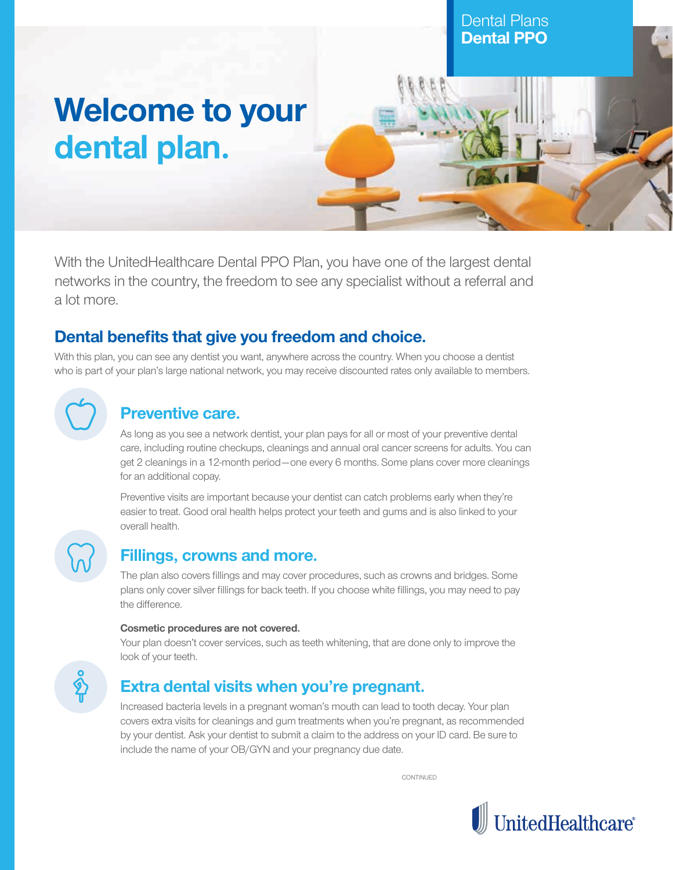# **Welcome to your dental plan.**

With the UnitedHealthcare Dental PPO Plan, you have one of the largest dental networks in the country, the freedom to see any specialist without a referral and a lot more.

## **Dental benefits that give you freedom and choice.**

With this plan, you can see any dentist you want, anywhere across the country. When you choose a dentist who is part of your plan's large national network, you may receive discounted rates only available to members.

### **Preventive care.**

As long as you see a network dentist, your plan pays for all or most of your preventive dental care, including routine checkups, cleanings and annual oral cancer screens for adults. You can get 2 cleanings in a 12-month period—one every 6 months. Some plans cover more cleanings for an additional copay.

Preventive visits are important because your dentist can catch problems early when they're easier to treat. Good oral health helps protect your teeth and gums and is also linked to your overall health.

### **Fillings, crowns and more.**

The plan also covers fillings and may cover procedures, such as crowns and bridges. Some plans only cover silver fillings for back teeth. If you choose white fillings, you may need to pay the difference.

### **Cosmetic procedures are not covered.**

Your plan doesn't cover services, such as teeth whitening, that are done only to improve the look of your teeth.



### **Extra dental visits when you're pregnant.**

Increased bacteria levels in a pregnant woman's mouth can lead to tooth decay. Your plan covers extra visits for cleanings and gum treatments when you're pregnant, as recommended by your dentist. Ask your dentist to submit a claim to the address on your ID card. Be sure to include the name of your OB/GYN and your pregnancy due date.

**CONTINUED** 



Dental Plans **Dental PPO**